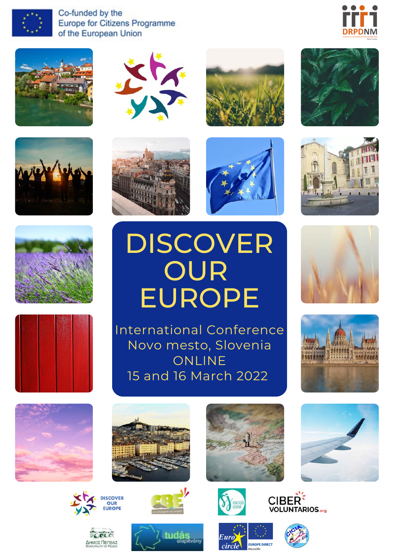

Co-funded by the Europe for Citizens Programme of the European Union





















## DISCOVER **OUR** EUROPE



































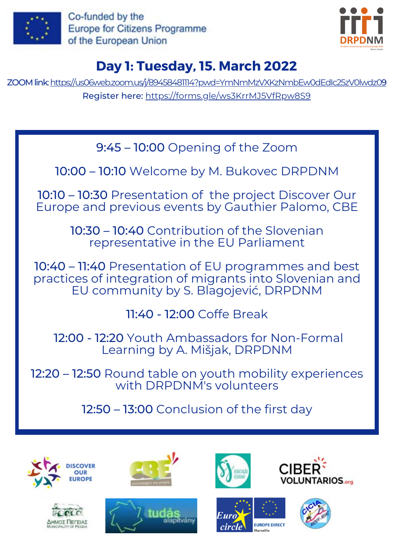

Co-funded by the **Europe for Citizens Programme** of the European Union



## **Day 1: Tuesday, 15. March 2022**

ZOOM link: [https://us06web.zoom.us/j/89458481114?pwd=YmNmMzVXKzNmbEw0dEdIc25zV0lwdz0](https://us06web.zoom.us/j/89458481114?pwd=YmNmMzVXKzNmbEw0dEdIc25zV0lwdz09)[9](https://us06web.zoom.us/j/89458481114?pwd=YmNmMzVXKzNmbEw0dEdIc25zV0lwdz09) Register here: <https://forms.gle/ws3KrrMJ5VfRpw8S9>

9:45 – 10:00 Opening of the Zoom

10:00 – 10:10 Welcome by M. Bukovec DRPDNM

10:10 – 10:30 Presentation of the project Discover Our Europe and previous events by Gauthier Palomo, CBE

> 10:30 – 10:40 Contribution of the Slovenian representative in the EU Parliament

10:40 – 11:40 Presentation of EU programmes and best practices of integration of migrants into Slovenian and EU community by S. Blagojević, DRPDNM

11:40 - 12:00 Coffe Break

12:00 - 12:20 Youth Ambassadors for Non-Formal Learning by A. Mišjak, DRPDNM

12:20 – 12:50 Round table on youth mobility experiences with DRPDNM's volunteers

12:50 – 13:00 Conclusion of the first day